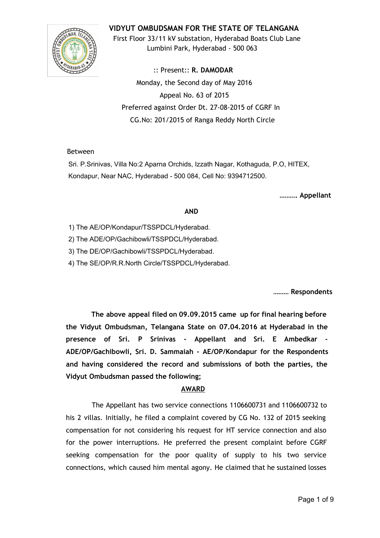

**VIDYUT OMBUDSMAN FOR THE STATE OF TELANGANA**

First Floor 33/11 kV substation, Hyderabad Boats Club Lane Lumbini Park, Hyderabad ‐ 500 063

:: Present:: **R. DAMODAR** Monday, the Second day of May 2016 Appeal No. 63 of 2015 Preferred against Order Dt. 27‐08‐2015 of CGRF In CG.No: 201/2015 of Ranga Reddy North Circle

## Between

Sri. P.Srinivas, Villa No:2 Aparna Orchids, Izzath Nagar, Kothaguda, P.O, HITEX, Kondapur, Near NAC, Hyderabad - 500 084, Cell No: 9394712500.

**………. Appellant**

## **AND**

1) The AE/OP/Kondapur/TSSPDCL/Hyderabad.

2) The ADE/OP/Gachibowli/TSSPDCL/Hyderabad.

3) The DE/OP/Gachibowli/TSSPDCL/Hyderabad.

4) The SE/OP/R.R.North Circle/TSSPDCL/Hyderabad.

**……… Respondents**

**The above appeal filed on 09.09.2015 came up for final hearing before the Vidyut Ombudsman, Telangana State on 07.04.2016 at Hyderabad in the presence of Sri. P Srinivas ‐ Appellant and Sri. E Ambedkar ‐ ADE/OP/Gachibowli, Sri. D. Sammaiah ‐ AE/OP/Kondapur for the Respondents and having considered the record and submissions of both the parties, the Vidyut Ombudsman passed the following;**

## **AWARD**

The Appellant has two service connections 1106600731 and 1106600732 to his 2 villas. Initially, he filed a complaint covered by CG No. 132 of 2015 seeking compensation for not considering his request for HT service connection and also for the power interruptions. He preferred the present complaint before CGRF seeking compensation for the poor quality of supply to his two service connections, which caused him mental agony. He claimed that he sustained losses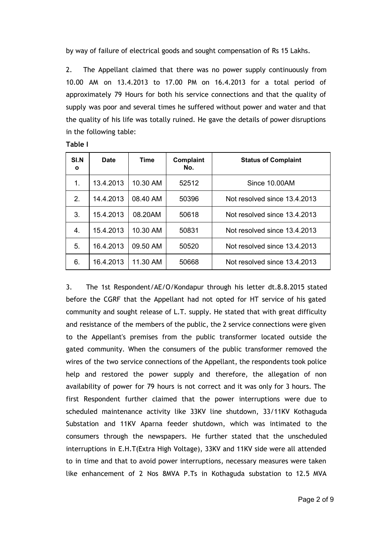by way of failure of electrical goods and sought compensation of Rs 15 Lakhs.

2. The Appellant claimed that there was no power supply continuously from 10.00 AM on 13.4.2013 to 17.00 PM on 16.4.2013 for a total period of approximately 79 Hours for both his service connections and that the quality of supply was poor and several times he suffered without power and water and that the quality of his life was totally ruined. He gave the details of power disruptions in the following table:

|--|--|

| <b>SI.N</b><br>O | <b>Date</b> | Time     | Complaint<br>No. | <b>Status of Complaint</b>   |
|------------------|-------------|----------|------------------|------------------------------|
| 1.               | 13.4.2013   | 10.30 AM | 52512            | Since 10.00AM                |
| 2 <sub>1</sub>   | 14.4.2013   | 08.40 AM | 50396            | Not resolved since 13.4.2013 |
| 3.               | 15.4.2013   | 08.20AM  | 50618            | Not resolved since 13.4.2013 |
| 4.               | 15.4.2013   | 10.30 AM | 50831            | Not resolved since 13.4.2013 |
| 5.               | 16.4.2013   | 09.50 AM | 50520            | Not resolved since 13.4.2013 |
| 6.               | 16.4.2013   | 11.30 AM | 50668            | Not resolved since 13.4.2013 |

3. The 1st Respondent/AE/O/Kondapur through his letter dt.8.8.2015 stated before the CGRF that the Appellant had not opted for HT service of his gated community and sought release of L.T. supply. He stated that with great difficulty and resistance of the members of the public, the 2 service connections were given to the Appellant's premises from the public transformer located outside the gated community. When the consumers of the public transformer removed the wires of the two service connections of the Appellant, the respondents took police help and restored the power supply and therefore, the allegation of non availability of power for 79 hours is not correct and it was only for 3 hours. The first Respondent further claimed that the power interruptions were due to scheduled maintenance activity like 33KV line shutdown, 33/11KV Kothaguda Substation and 11KV Aparna feeder shutdown, which was intimated to the consumers through the newspapers. He further stated that the unscheduled interruptions in E.H.T(Extra High Voltage), 33KV and 11KV side were all attended to in time and that to avoid power interruptions, necessary measures were taken like enhancement of 2 Nos 8MVA P.Ts in Kothaguda substation to 12.5 MVA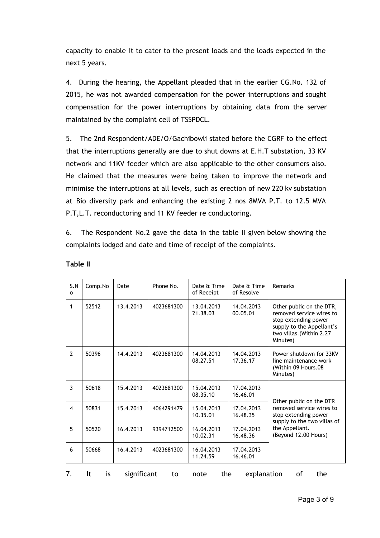capacity to enable it to cater to the present loads and the loads expected in the next 5 years.

4. During the hearing, the Appellant pleaded that in the earlier CG.No. 132 of 2015, he was not awarded compensation for the power interruptions and sought compensation for the power interruptions by obtaining data from the server maintained by the complaint cell of TSSPDCL.

5. The 2nd Respondent/ADE/O/Gachibowli stated before the CGRF to the effect that the interruptions generally are due to shut downs at E.H.T substation, 33 KV network and 11KV feeder which are also applicable to the other consumers also. He claimed that the measures were being taken to improve the network and minimise the interruptions at all levels, such as erection of new 220 kv substation at Bio diversity park and enhancing the existing 2 nos 8MVA P.T. to 12.5 MVA P.T,L.T. reconductoring and 11 KV feeder re conductoring.

6. The Respondent No.2 gave the data in the table II given below showing the complaints lodged and date and time of receipt of the complaints.

| S.N<br>o                                                                       | Comp.No | Date      | Phone No.  | Date & Time<br>of Receipt | Date & Time<br>of Resolve | Remarks                                                                                                                                              |
|--------------------------------------------------------------------------------|---------|-----------|------------|---------------------------|---------------------------|------------------------------------------------------------------------------------------------------------------------------------------------------|
| 1                                                                              | 52512   | 13.4.2013 | 4023681300 | 13.04.2013<br>21.38.03    | 14.04.2013<br>00.05.01    | Other public on the DTR,<br>removed service wires to<br>stop extending power<br>supply to the Appellant's<br>two villas. (Within 2.27<br>Minutes)    |
| $\overline{2}$                                                                 | 50396   | 14.4.2013 | 4023681300 | 14.04.2013<br>08.27.51    | 14.04.2013<br>17.36.17    | Power shutdown for 33KV<br>line maintenance work<br>(Within 09 Hours.08<br>Minutes)                                                                  |
| 3                                                                              | 50618   | 15.4.2013 | 4023681300 | 15.04.2013<br>08.35.10    | 17.04.2013<br>16.46.01    |                                                                                                                                                      |
| $\overline{\mathbf{4}}$                                                        | 50831   | 15.4.2013 | 4064291479 | 15.04.2013<br>10.35.01    | 17.04.2013<br>16.48.35    | Other public on the DTR<br>removed service wires to<br>stop extending power<br>supply to the two villas of<br>the Appellant.<br>(Beyond 12.00 Hours) |
| 5                                                                              | 50520   | 16.4.2013 | 9394712500 | 16.04.2013<br>10.02.31    | 17.04.2013<br>16.48.36    |                                                                                                                                                      |
| 6                                                                              | 50668   | 16.4.2013 | 4023681300 | 16.04.2013<br>11.24.59    | 17.04.2013<br>16.46.01    |                                                                                                                                                      |
| 7.<br>It<br>the<br>significant<br>the<br>explanation<br>οf<br>is<br>to<br>note |         |           |            |                           |                           |                                                                                                                                                      |

#### **Table II**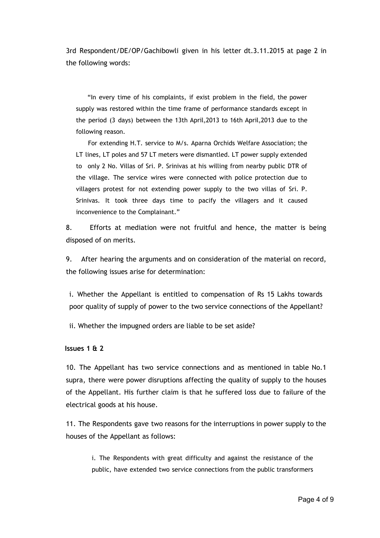3rd Respondent/DE/OP/Gachibowli given in his letter dt.3.11.2015 at page 2 in the following words:

"In every time of his complaints, if exist problem in the field, the power supply was restored within the time frame of performance standards except in the period (3 days) between the 13th April,2013 to 16th April,2013 due to the following reason.

For extending H.T. service to M/s. Aparna Orchids Welfare Association; the LT lines, LT poles and 57 LT meters were dismantled. LT power supply extended to only 2 No. Villas of Sri. P. Srinivas at his willing from nearby public DTR of the village. The service wires were connected with police protection due to villagers protest for not extending power supply to the two villas of Sri. P. Srinivas. It took three days time to pacify the villagers and it caused inconvenience to the Complainant."

8. Efforts at mediation were not fruitful and hence, the matter is being disposed of on merits.

9. After hearing the arguments and on consideration of the material on record, the following issues arise for determination:

i. Whether the Appellant is entitled to compensation of Rs 15 Lakhs towards poor quality of supply of power to the two service connections of the Appellant?

ii. Whether the impugned orders are liable to be set aside?

**Issues 1 & 2**

10. The Appellant has two service connections and as mentioned in table No.1 supra, there were power disruptions affecting the quality of supply to the houses of the Appellant. His further claim is that he suffered loss due to failure of the electrical goods at his house.

11. The Respondents gave two reasons for the interruptions in power supply to the houses of the Appellant as follows:

i. The Respondents with great difficulty and against the resistance of the public, have extended two service connections from the public transformers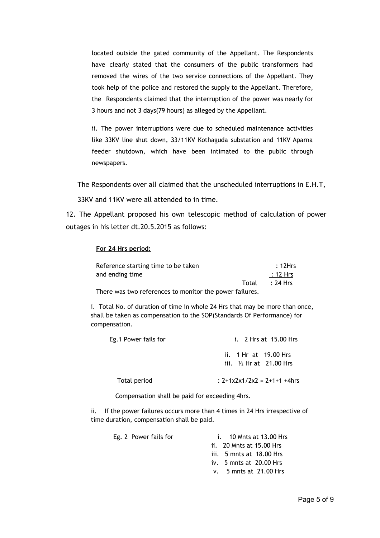located outside the gated community of the Appellant. The Respondents have clearly stated that the consumers of the public transformers had removed the wires of the two service connections of the Appellant. They took help of the police and restored the supply to the Appellant. Therefore, the Respondents claimed that the interruption of the power was nearly for 3 hours and not 3 days(79 hours) as alleged by the Appellant.

ii. The power interruptions were due to scheduled maintenance activities like 33KV line shut down, 33/11KV Kothaguda substation and 11KV Aparna feeder shutdown, which have been intimated to the public through newspapers.

The Respondents over all claimed that the unscheduled interruptions in E.H.T, 33KV and 11KV were all attended to in time.

12. The Appellant proposed his own telescopic method of calculation of power outages in his letter dt.20.5.2015 as follows:

#### **For 24 Hrs period:**

| Reference starting time to be taken                    | :12Hrs         |
|--------------------------------------------------------|----------------|
| and ending time                                        | :12 Hrs        |
|                                                        | Total : 24 Hrs |
| There was two references to menitor the power failures |                |

There was two references to monitor the power failures.

i. Total No. of duration of time in whole 24 Hrs that may be more than once, shall be taken as compensation to the SOP(Standards Of Performance) for compensation.

| Eg.1 Power fails for | i. 2 Hrs at 15.00 Hrs                               |  |  |
|----------------------|-----------------------------------------------------|--|--|
|                      | ii. 1 Hr at 19.00 Hrs<br>iii. $1/2$ Hr at 21.00 Hrs |  |  |
| Total period         | : $2+1x2x1/2x2 = 2+1+1+4$ hrs                       |  |  |

Compensation shall be paid for exceeding 4hrs.

ii. If the power failures occurs more than 4 times in 24 Hrs irrespective of time duration, compensation shall be paid.

| Eg. 2 Power fails for | i. 10 Mnts at 13.00 Hrs            |
|-----------------------|------------------------------------|
|                       | ii. 20 Mnts at 15.00 Hrs           |
|                       | iii. 5 mnts at 18.00 Hrs           |
|                       | iv. $5 \text{ m}$ nts at 20.00 Hrs |
|                       | $v.$ 5 mnts at 21.00 Hrs           |
|                       |                                    |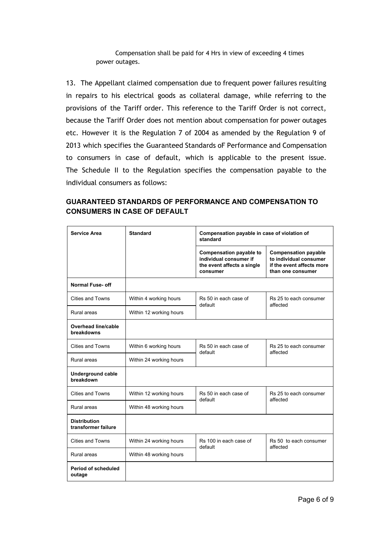Compensation shall be paid for 4 Hrs in view of exceeding 4 times power outages.

13. The Appellant claimed compensation due to frequent power failures resulting in repairs to his electrical goods as collateral damage, while referring to the provisions of the Tariff order. This reference to the Tariff Order is not correct, because the Tariff Order does not mention about compensation for power outages etc. However it is the Regulation 7 of 2004 as amended by the Regulation 9 of 2013 which specifies the Guaranteed Standards oF Performance and Compensation to consumers in case of default, which is applicable to the present issue. The Schedule II to the Regulation specifies the compensation payable to the individual consumers as follows:

# **GUARANTEED STANDARDS OF PERFORMANCE AND COMPENSATION TO CONSUMERS IN CASE OF DEFAULT**

| Service Area                               | <b>Standard</b>         | Compensation payable in case of violation of<br>standard                                           |                                                                                                         |
|--------------------------------------------|-------------------------|----------------------------------------------------------------------------------------------------|---------------------------------------------------------------------------------------------------------|
|                                            |                         | <b>Compensation payable to</b><br>individual consumer if<br>the event affects a single<br>consumer | <b>Compensation payable</b><br>to individual consumer<br>if the event affects more<br>than one consumer |
| <b>Normal Fuse- off</b>                    |                         |                                                                                                    |                                                                                                         |
| Cities and Towns                           | Within 4 working hours  | Rs 50 in each case of<br>default                                                                   | Rs 25 to each consumer<br>affected                                                                      |
| Rural areas                                | Within 12 working hours |                                                                                                    |                                                                                                         |
| <b>Overhead line/cable</b><br>breakdowns   |                         |                                                                                                    |                                                                                                         |
| Cities and Towns                           | Within 6 working hours  | Rs 50 in each case of<br>default                                                                   | Rs 25 to each consumer<br>affected                                                                      |
| Rural areas                                | Within 24 working hours |                                                                                                    |                                                                                                         |
| <b>Underground cable</b><br>breakdown      |                         |                                                                                                    |                                                                                                         |
| <b>Cities and Towns</b>                    | Within 12 working hours | Rs 50 in each case of<br>default                                                                   | Rs 25 to each consumer<br>affected                                                                      |
| Rural areas                                | Within 48 working hours |                                                                                                    |                                                                                                         |
| <b>Distribution</b><br>transformer failure |                         |                                                                                                    |                                                                                                         |
| Cities and Towns                           | Within 24 working hours | Rs 100 in each case of<br>default                                                                  | Rs 50 to each consumer<br>affected                                                                      |
| Rural areas                                | Within 48 working hours |                                                                                                    |                                                                                                         |
| Period of scheduled<br>outage              |                         |                                                                                                    |                                                                                                         |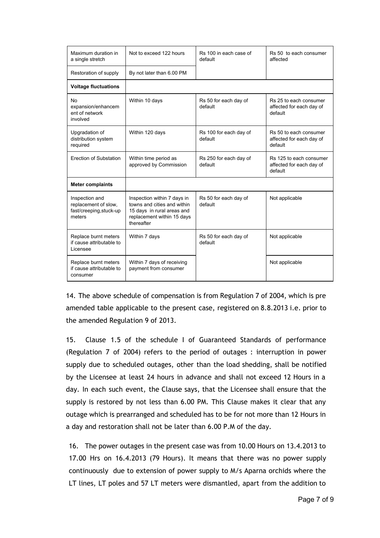| Maximum duration in<br>a single stretch                                     | Not to exceed 122 hours                                                                                                              | Rs 100 in each case of<br>default | Rs 50 to each consumer<br>affected                             |
|-----------------------------------------------------------------------------|--------------------------------------------------------------------------------------------------------------------------------------|-----------------------------------|----------------------------------------------------------------|
| Restoration of supply                                                       | By not later than 6.00 PM                                                                                                            |                                   |                                                                |
| <b>Voltage fluctuations</b>                                                 |                                                                                                                                      |                                   |                                                                |
| <b>No</b><br>expansion/enhancem<br>ent of network<br>involved               | Within 10 days                                                                                                                       | Rs 50 for each day of<br>default  | Rs 25 to each consumer<br>affected for each day of<br>default  |
| Upgradation of<br>distribution system<br>required                           | Within 120 days                                                                                                                      | Rs 100 for each day of<br>default | Rs 50 to each consumer<br>affected for each day of<br>default  |
| Erection of Substation                                                      | Within time period as<br>approved by Commission                                                                                      | Rs 250 for each day of<br>default | Rs 125 to each consumer<br>affected for each day of<br>default |
| <b>Meter complaints</b>                                                     |                                                                                                                                      |                                   |                                                                |
| Inspection and<br>replacement of slow,<br>fast/creeping, stuck-up<br>meters | Inspection within 7 days in<br>towns and cities and within<br>15 days in rural areas and<br>replacement within 15 days<br>thereafter | Rs 50 for each day of<br>default  | Not applicable                                                 |
| Replace burnt meters<br>if cause attributable to<br>Licensee                | Within 7 days                                                                                                                        | Rs 50 for each day of<br>default  | Not applicable                                                 |
| Replace burnt meters<br>if cause attributable to<br>consumer                | Within 7 days of receiving<br>payment from consumer                                                                                  |                                   | Not applicable                                                 |

14. The above schedule of compensation is from Regulation 7 of 2004, which is pre amended table applicable to the present case, registered on 8.8.2013 i.e. prior to the amended Regulation 9 of 2013.

15. Clause 1.5 of the schedule I of Guaranteed Standards of performance (Regulation 7 of 2004) refers to the period of outages : interruption in power supply due to scheduled outages, other than the load shedding, shall be notified by the Licensee at least 24 hours in advance and shall not exceed 12 Hours in a day. In each such event, the Clause says, that the Licensee shall ensure that the supply is restored by not less than 6.00 PM. This Clause makes it clear that any outage which is prearranged and scheduled has to be for not more than 12 Hours in a day and restoration shall not be later than 6.00 P.M of the day.

16. The power outages in the present case was from 10.00 Hours on 13.4.2013 to 17.00 Hrs on 16.4.2013 (79 Hours). It means that there was no power supply continuously due to extension of power supply to M/s Aparna orchids where the LT lines, LT poles and 57 LT meters were dismantled, apart from the addition to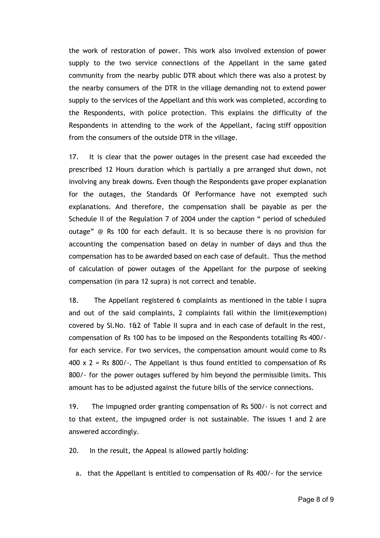the work of restoration of power. This work also involved extension of power supply to the two service connections of the Appellant in the same gated community from the nearby public DTR about which there was also a protest by the nearby consumers of the DTR in the village demanding not to extend power supply to the services of the Appellant and this work was completed, according to the Respondents, with police protection. This explains the difficulty of the Respondents in attending to the work of the Appellant, facing stiff opposition from the consumers of the outside DTR in the village.

17. It is clear that the power outages in the present case had exceeded the prescribed 12 Hours duration which is partially a pre arranged shut down, not involving any break downs. Even though the Respondents gave proper explanation for the outages, the Standards Of Performance have not exempted such explanations. And therefore, the compensation shall be payable as per the Schedule II of the Regulation 7 of 2004 under the caption " period of scheduled outage" @ Rs 100 for each default. It is so because there is no provision for accounting the compensation based on delay in number of days and thus the compensation has to be awarded based on each case of default. Thus the method of calculation of power outages of the Appellant for the purpose of seeking compensation (in para 12 supra) is not correct and tenable.

18. The Appellant registered 6 complaints as mentioned in the table I supra and out of the said complaints, 2 complaints fall within the limit(exemption) covered by Sl.No. 1&2 of Table II supra and in each case of default in the rest, compensation of Rs 100 has to be imposed on the Respondents totalling Rs 400/‐ for each service. For two services, the compensation amount would come to Rs  $400 \times 2$  = Rs 800/-. The Appellant is thus found entitled to compensation of Rs 800/‐ for the power outages suffered by him beyond the permissible limits. This amount has to be adjusted against the future bills of the service connections.

19. The impugned order granting compensation of Rs 500/- is not correct and to that extent, the impugned order is not sustainable. The issues 1 and 2 are answered accordingly.

20. In the result, the Appeal is allowed partly holding:

a. that the Appellant is entitled to compensation of Rs 400/‐ for the service